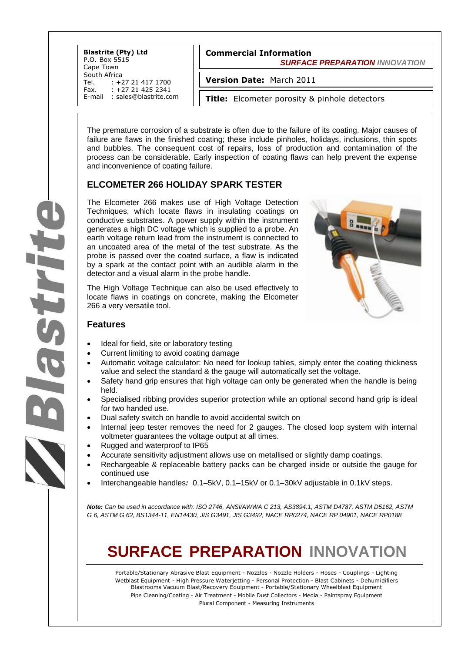**Commercial Information**  *SURFACE PREPARATION INNOVATION* **Blastrite (Pty) Ltd** P.O. Box 5515 Cape Town South Africa<br>Tel. : +2 Tel. : +27 21 417 1700<br>Fax. : +27 21 425 2341 +27 21 425 2341 E-mail : sales@blastrite.com **Version Date:** March 2011 **Title:** Elcometer porosity & pinhole detectors

The premature corrosion of a substrate is often due to the failure of its coating. Major causes of failure are flaws in the finished coating; these include pinholes, holidays, inclusions, thin spots and bubbles. The consequent cost of repairs, loss of production and contamination of the process can be considerable. Early inspection of coating flaws can help prevent the expense and inconvenience of coating failure.

#### **ELCOMETER 266 HOLIDAY SPARK TESTER**

The Elcometer 266 makes use of High Voltage Detection Techniques, which locate flaws in insulating coatings on conductive substrates. A power supply within the instrument generates a high DC voltage which is supplied to a probe. An earth voltage return lead from the instrument is connected to an uncoated area of the metal of the test substrate. As the probe is passed over the coated surface, a flaw is indicated by a spark at the contact point with an audible alarm in the detector and a visual alarm in the probe handle.

The High Voltage Technique can also be used effectively to locate flaws in coatings on concrete, making the Elcometer 266 a very versatile tool.



#### **Features**

- Ideal for field, site or laboratory testing
- Current limiting to avoid coating damage
- Automatic voltage calculator: No need for lookup tables, simply enter the coating thickness value and select the standard & the gauge will automatically set the voltage.
- Safety hand grip ensures that high voltage can only be generated when the handle is being held.
- Specialised ribbing provides superior protection while an optional second hand grip is ideal for two handed use.
- Dual safety switch on handle to avoid accidental switch on
- Internal jeep tester removes the need for 2 gauges. The closed loop system with internal voltmeter guarantees the voltage output at all times.
- Rugged and waterproof to IP65
- Accurate sensitivity adjustment allows use on metallised or slightly damp coatings.
- Rechargeable & replaceable battery packs can be charged inside or outside the gauge for continued use
- Interchangeable handles*:* 0.1–5kV, 0.1–15kV or 0.1–30kV adjustable in 0.1kV steps.

*Note: Can be used in accordance with: ISO 2746, ANSI/AWWA C 213, AS3894.1, ASTM D4787, ASTM D5162, ASTM G 6, ASTM G 62, BS1344-11, EN14430, JIS G3491, JIS G3492, NACE RP0274, NACE RP 04901, NACE RP0188*

# **SURFACE PREPARATION INNOVATION**

Portable/Stationary Abrasive Blast Equipment - Nozzles - Nozzle Holders - Hoses - Couplings - Lighting Wetblast Equipment - High Pressure Waterjetting - Personal Protection - Blast Cabinets - Dehumidifiers Blastrooms Vacuum Blast/Recovery Equipment - Portable/Stationary Wheelblast Equipment Pipe Cleaning/Coating - Air Treatment - Mobile Dust Collectors - Media - Paintspray Equipment Plural Component - Measuring Instruments